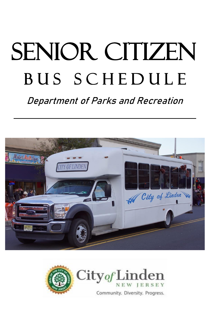# BUS SCHEDULE SENIOR CITIZEN

# Department of Parks and Recreation



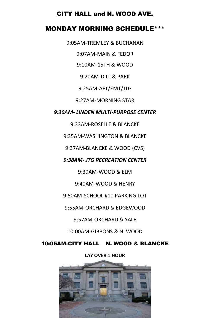#### CITY HALL and N. WOOD AVE.

#### MONDAY MORNING SCHEDULE\*\*\*

9:05AM-TREMLEY & BUCHANAN

9:07AM-MAIN & FEDOR

9:10AM-15TH & WOOD

9:20AM-DILL & PARK

9:25AM-AFT/EMT/JTG

9:27AM-MORNING STAR

#### *9:30AM- LINDEN MULTI-PURPOSE CENTER*

9:33AM-ROSELLE & BLANCKE

9:35AM-WASHINGTON & BLANCKE

9:37AM-BLANCKE & WOOD (CVS)

*9:38AM- JTG RECREATION CENTER*

9:39AM-WOOD & ELM

9:40AM-WOOD & HENRY

9:50AM-SCHOOL #10 PARKING LOT

9:55AM-ORCHARD & EDGEWOOD

9:57AM-ORCHARD & YALE

10:00AM-GIBBONS & N. WOOD

#### 10:05AM-CITY HALL – N. WOOD & BLANCKE

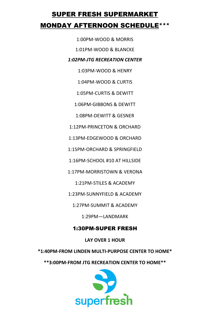# SUPER FRESH SUPERMARKET MONDAY AFTERNOON SCHEDULE\*\*\*

1:00PM-WOOD & MORRIS

#### 1:01PM-WOOD & BLANCKE

#### *1:02PM-JTG RECREATION CENTER*

1:03PM-WOOD & HENRY

1:04PM-WOOD & CURTIS

1:05PM-CURTIS & DEWITT

1:06PM-GIBBONS & DEWITT

1:08PM-DEWITT & GESNER

1:12PM-PRINCETON & ORCHARD

1:13PM-EDGEWOOD & ORCHARD

1:15PM-ORCHARD & SPRINGFIELD

1:16PM-SCHOOL #10 AT HILLSIDE

1:17PM-MORRISTOWN & VERONA

1:21PM-STILES & ACADEMY

1:23PM-SUNNYFIELD & ACADEMY

1:27PM-SUMMIT & ACADEMY

1:29PM—LANDMARK

#### 1:30PM-SUPER FRESH

#### **LAY OVER 1 HOUR**

**\*1:40PM-FROM LINDEN MULTI-PURPOSE CENTER TO HOME\***

**\*\*3:00PM-FROM JTG RECREATION CENTER TO HOME\*\***

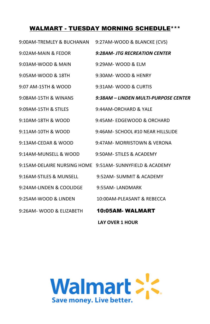## WALMART - TUESDAY MORNING SCHEDULE\*\*\*

| 9:00AM-TREMLEY & BUCHANAN 9:27AM-WOOD & BLANCKE (CVS) |                                                          |
|-------------------------------------------------------|----------------------------------------------------------|
| 9:02AM-MAIN & FEDOR                                   | <b>9:28AM- JTG RECREATION CENTER</b>                     |
| 9:03AM-WOOD & MAIN                                    | 9:29AM- WOOD & ELM                                       |
| 9:05AM-WOOD & 18TH                                    | 9:30AM- WOOD & HENRY                                     |
| 9:07 AM-15TH & WOOD                                   | 9:31AM-WOOD & CURTIS                                     |
| 9:08AM-15TH & WINANS                                  | 9:38AM - LINDEN MULTI-PURPOSE CENTER                     |
| 9:09AM-15TH & STILES                                  | 9:44AM-ORCHARD & YALE                                    |
| 9:10AM-18TH & WOOD                                    | 9:45AM- EDGEWOOD & ORCHARD                               |
| 9:11AM-10TH & WOOD                                    | 9:46AM- SCHOOL #10 NEAR HILLSLIDE                        |
| 9:13AM-CEDAR & WOOD                                   | 9:47AM- MORRISTOWN & VERONA                              |
| 9:14AM-MUNSELL & WOOD                                 | 9:50AM- STILES & ACADEMY                                 |
|                                                       | 9:15AM-DELAIRE NURSING HOME 9:51AM- SUNNYFIELD & ACADEMY |
| 9:16AM-STILES & MUNSELL                               | 9:52AM- SUMMIT & ACADEMY                                 |
| 9:24AM-LINDEN & COOLIDGE                              | 9:55AM-LANDMARK                                          |
| 9:25AM-WOOD & LINDEN                                  | 10:00AM-PLEASANT & REBECCA                               |
| 9:26AM- WOOD & ELIZABETH                              | 10:05AM-WALMART                                          |
|                                                       | <b>LAY OVER 1 HOUR</b>                                   |

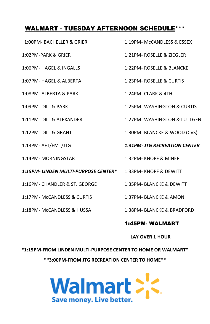# WALMART - TUESDAY AFTERNOON SCHEDULE\*\*\*

1:07PM- HAGEL & ALBERTA 1:23PM- ROSELLE & CURTIS 1:08PM- ALBERTA & PARK 1:24PM- CLARK & 4TH 1:09PM- DILL & PARK 1:25PM- WASHINGTON & CURTIS 1:11PM- DILL & ALEXANDER 1:27PM- WASHINGTON & LUTTGEN 1:12PM- DILL & GRANT 1:30PM- BLANCKE & WOOD (CVS) 1:13PM- AFT/EMT/JTG *1:31PM- JTG RECREATION CENTER* 1:14PM- MORNINGSTAR 1:32PM- KNOPF & MINER *1:15PM- LINDEN MULTI-PURPOSE CENTER\** 1:33PM- KNOPF & DEWITT

#### 1:45PM- WALMART

**LAY OVER 1 HOUR**

# 1:17PM- McCANDLESS & CURTIS 1:37PM- BLANCKE & AMON 1:18PM- McCANDLESS & HUSSA 1:38PM- BLANCKE & BRADFORD

**\*1:15PM-FROM LINDEN MULTI-PURPOSE CENTER TO HOME OR WALMART\* \*\*3:00PM-FROM JTG RECREATION CENTER TO HOME\*\***

**Walmart > <** 

Save money. Live better.

1:16PM- CHANDLER & ST. GEORGE 1:35PM- BLANCKE & DEWITT

1:02PM-PARK & GRIER 1:21PM- ROSELLE & ZIEGLER

1:06PM- HAGEL & INGALLS 1:22PM- ROSELLE & BLANCKE

1:00PM- BACHELLER & GRIER 1:19PM- McCANDLESS & ESSEX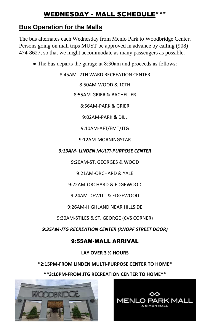# WEDNESDAY - MALL SCHEDULE\*\*\*

# **Bus Operation for the Malls**

The bus alternates each Wednesday from Menlo Park to Woodbridge Center. Persons going on mall trips MUST be approved in advance by calling (908) 474-8627, so that we might accommodate as many passengers as possible.

• The bus departs the garage at 8:30am and proceeds as follows:

8:45AM- 7TH WARD RECREATION CENTER

8:50AM-WOOD & 10TH

8:55AM-GRIER & BACHELLER

8:56AM-PARK & GRIER

9:02AM-PARK & DILL

9:10AM-AFT/EMT/JTG

9:12AM-MORNINGSTAR

*9:13AM- LINDEN MULTI-PURPOSE CENTER*

9:20AM-ST. GEORGES & WOOD

9:21AM-ORCHARD & YALE

9:22AM-ORCHARD & EDGEWOOD

9:24AM-DEWITT & EDGEWOOD

9:26AM-HIGHLAND NEAR HILLSIDE

9:30AM-STILES & ST. GEORGE (CVS CORNER)

*9:35AM-JTG RECREATION CENTER (KNOPF STREET DOOR)*

# 9:55AM-MALL ARRIVAL

**LAY OVER 3 ½ HOURS**

**\*2:15PM-FROM LINDEN MULTI-PURPOSE CENTER TO HOME\***

**\*\*3:10PM-FROM JTG RECREATION CENTER TO HOME\*\***



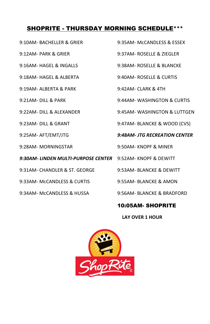# SHOPRITE - THURSDAY MORNING SCHEDULE\*\*\*

9:19AM- ALBERTA & PARK 9:42AM- CLARK & 4TH

9:28AM- MORNINGSTAR 9:50AM- KNOPF & MINER

*9:30AM- LINDEN MULTI-PURPOSE CENTER* 9:52AM- KNOPF & DEWITT

9:31AM- CHANDLER & ST. GEORGE 9:53AM- BLANCKE & DEWITT

9:33AM- McCANDLESS & CURTIS 9:55AM- BLANCKE & AMON

9:10AM- BACHELLER & GRIER 9:35AM- McCANDLESS & ESSEX

9:12AM- PARK & GRIER 9:37AM- ROSELLE & ZIEGLER

9:16AM- HAGEL & INGALLS 9:38AM- ROSELLE & BLANCKE

9:18AM- HAGEL & ALBERTA 9:40AM- ROSELLE & CURTIS

9:21AM- DILL & PARK 9:44AM- WASHINGTON & CURTIS

9:22AM- DILL & ALEXANDER 9:45AM- WASHINGTON & LUTTGEN

9:23AM- DILL & GRANT 9:47AM- BLANCKE & WOOD (CVS)

9:25AM- AFT/EMT/JTG *9:48AM- JTG RECREATION CENTER*

9:34AM- McCANDLESS & HUSSA 9:56AM- BLANCKE & BRADFORD

#### 10:05AM- SHOPRITE

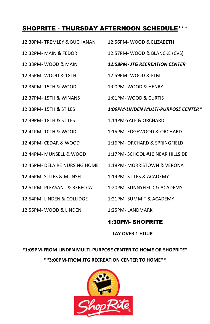# SHOPRITE - THURSDAY AFTERNOON SCHEDULE\*\*\*

|                               | <b>1:30PM- SHOPRITE</b>               |
|-------------------------------|---------------------------------------|
| 12:55PM-WOOD & LINDEN         | 1:25PM-LANDMARK                       |
| 12:54PM- LINDEN & COLLIDGE    | 1:21PM- SUMMIT & ACADEMY              |
| 12:51PM- PLEASANT & REBECCA   | 1:20PM- SUNNYFIELD & ACADEMY          |
| 12:46PM- STILES & MUNSELL     | 1:19PM- STILES & ACADEMY              |
| 12:45PM- DELAIRE NURSING HOME | 1:18PM- MORRISTOWN & VERONA           |
| 12:44PM- MUNSELL & WOOD       | 1:17PM- SCHOOL #10 NEAR HILLSIDE      |
| 12:43PM- CEDAR & WOOD         | 1:16PM- ORCHARD & SPRINGFIELD         |
| 12:41PM-10TH & WOOD           | 1:15PM-EDGEWOOD & ORCHARD             |
| 12:39PM-18TH & STILES         | 1:14PM-YALE & ORCHARD                 |
| 12:38PM-15TH & STILES         | 1:09PM-LINDEN MULTI-PURPOSE CENTER*   |
| 12:37PM-15TH & WINANS         | 1:01PM-WOOD & CURTIS                  |
| 12:36PM-15TH & WOOD           | 1:00PM-WOOD & HENRY                   |
| 12:35PM- WOOD & 18TH          | 12:59PM- WOOD & ELM                   |
| 12:33PM- WOOD & MAIN          | <b>12:58PM- JTG RECREATION CENTER</b> |
| 12:32PM- MAIN & FEDOR         | 12:57PM- WOOD & BLANCKE (CVS)         |
| 12:30PM- TREMLEY & BUCHANAN   | 12:56PM- WOOD & ELIZABETH             |

**\*1:09PM-FROM LINDEN MULTI-PURPOSE CENTER TO HOME OR SHOPRITE\* \*\*3:00PM-FROM JTG RECREATION CENTER TO HOME\*\***

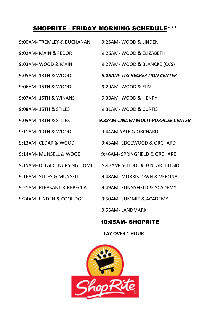## SHOPRITE - FRIDAY MORNING SCHEDULE\*\*\*

| 9:00AM- TREMLEY & BUCHANAN   | 9:25AM-WOOD & LINDEN               |
|------------------------------|------------------------------------|
| 9:02 AM-MAIN & FEDOR         | 9:26AM- WOOD & ELIZABETH           |
| 9:03AM-WOOD & MAIN           | 9:27AM- WOOD & BLANCKE (CVS)       |
| 9:05AM-18TH & WOOD           | 9:28AM- JTG RECREATION CENTER      |
| 9:06AM-15TH & WOOD           | 9:29AM- WOOD & ELM                 |
| 9:07AM-15TH & WINANS         | 9:30AM-WOOD & HENRY                |
| 9:08AM-15TH & STILES         | 9:31AM-WOOD & CURTIS               |
| 9:09AM-18TH & STILES         | 9:38AM-LINDEN MULTI-PURPOSE CENTER |
| 9:11AM-10TH & WOOD           | 9:44AM-YALE & ORCHARD              |
| 9:13AM- CEDAR & WOOD         | 9:45AM- EDGEWOOD & ORCHARD         |
| 9:14AM- MUNSELL & WOOD       | 9:46AM-SPRINGFIELD & ORCHARD       |
| 9:15AM- DELAIRE NURSING HOME | 9:47AM- SCHOOL #10 NEAR HILLSIDE   |
| 9:16AM- STILES & MUNSELL     | 9:48AM- MORRISTOWN & VERONA        |
| 9:21AM- PI FASANT & RFBFCCA  | 9:49AM- SUNNYFIELD & ACADEMY       |
| 9:24AM-LINDEN & COOLIDGE     | 9:50AM- SUMMIT & ACADEMY           |
|                              | 9:55AM-LANDMARK                    |

#### 10:05AM- SHOPRITE

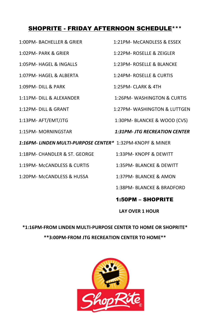# SHOPRITE - FRIDAY AFTERNOON SCHEDULE\*\*\*

- 
- 
- 
- 1:07PM- HAGEL & ALBERTA 1:24PM- ROSELLE & CURTIS
- 
- 
- 
- 
- 
- 1:00PM- BACHELLER & GRIER 1:21PM- McCANDLESS & ESSEX
- 1:02PM- PARK & GRIER 1:22PM- ROSELLE & ZEIGLER
- 1:05PM- HAGEL & INGALLS 1:23PM- ROSELLE & BLANCKE
	-
- 1:09PM- DILL & PARK 1:25PM- CLARK & 4TH
- 1:11PM- DILL & ALEXANDER 1:26PM- WASHINGTON & CURTIS
- 1:12PM- DILL & GRANT 1:27PM- WASHINGTON & LUTTGEN
- 1:13PM- AFT/EMT/JTG 1:30PM- BLANCKE & WOOD (CVS)
- 1:15PM- MORNINGSTAR *1:31PM- JTG RECREATION CENTER*
- *1:16PM- LINDEN MULTI-PURPOSE CENTER\** 1:32PM-KNOPF & MINER
- 1:18PM- CHANDLER & ST. GEORGE 1:33PM- KNOPF & DEWITT
- 1:19PM- McCANDLESS & CURTIS 1:35PM- BLANCKE & DEWITT
- 1:20PM- McCANDLESS & HUSSA 1:37PM- BLANCKE & AMON
- 
- 
- 
- 
- 1:38PM- BLANCKE & BRADFORD

#### 1:50PM – SHOPRITE

**LAY OVER 1 HOUR**

**\*1:16PM-FROM LINDEN MULTI-PURPOSE CENTER TO HOME OR SHOPRITE\* \*\*3:00PM-FROM JTG RECREATION CENTER TO HOME\*\***

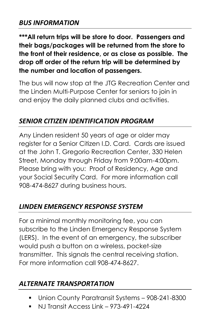# *BUS INFORMATION*

**\*\*\*All return trips will be store to door. Passengers and their bags/packages will be returned from the store to the front of their residence, or as close as possible. The drop off order of the return trip will be determined by the number and location of passengers.**

The bus will now stop at the JTG Recreation Center and the Linden Multi-Purpose Center for seniors to join in and enjoy the daily planned clubs and activities.

# *SENIOR CITIZEN IDENTIFICATION PROGRAM*

Any Linden resident 50 years of age or older may register for a Senior Citizen I.D. Card. Cards are issued at the John T. Gregorio Recreation Center, 330 Helen Street, Monday through Friday from 9:00am-4:00pm. Please bring with you: Proof of Residency, Age and your Social Security Card. For more information call 908-474-8627 during business hours.

# *LINDEN EMERGENCY RESPONSE SYSTEM*

For a minimal monthly monitoring fee, you can subscribe to the Linden Emergency Response System (LERS). In the event of an emergency, the subscriber would push a button on a wireless, pocket-size transmitter. This signals the central receiving station. For more information call 908-474-8627.

# *ALTERNATE TRANSPORTATION*

- Union County Paratransit Systems 908-241-8300
- NJ Transit Access Link 973-491-4224